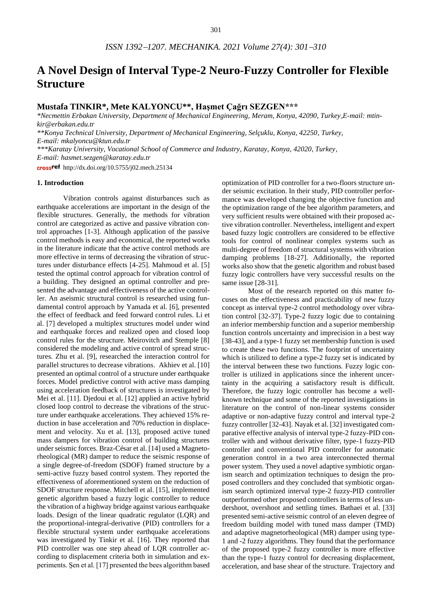# **A Novel Design of Interval Type-2 Neuro-Fuzzy Controller for Flexible Structure**

## **Mustafa TINKIR\*, Mete KALYONCU\*\*, Haşmet Çağrı SEZGEN\*\*\***

*\*Necmettin Erbakan University, Department of Mechanical Engineering, Meram, Konya, 42090, Turkey,E-mail: mtinkir@erbakan.edu.tr* 

*\*\*Konya Technical University, Department of Mechanical Engineering, Selçuklu, Konya, 42250, Turkey,* 

*E-mail: mkalyoncu@ktun.edu.tr*

*\*\*\*Karatay University, Vocational School of Commerce and Industry, Karatay, Konya, 42020, Turkey, E-mail: hasmet.sezgen@karatay.edu.tr*

crossref http://dx.doi.org/10.5755/j02.mech.25134

## **1. Introduction**

Vibration controls against disturbances such as earthquake accelerations are important in the design of the flexible structures. Generally, the methods for vibration control are categorized as active and passive vibration control approaches [1-3]. Although application of the passive control methods is easy and economical, the reported works in the literature indicate that the active control methods are more effective in terms of decreasing the vibration of structures under disturbance effects [4-25]. Mahmoud et al. [5] tested the optimal control approach for vibration control of a building. They designed an optimal controller and presented the advantage and effectiveness of the active controller. An aseismic structural control is researched using fundamental control approach by Yamada et al. [6], presented the effect of feedback and feed forward control rules. Li et al. [7] developed a multiplex structures model under wind and earthquake forces and realized open and closed loop control rules for the structure. Meirovitch and Stemple [8] considered the modeling and active control of spread structures. Zhu et al. [9], researched the interaction control for parallel structures to decrease vibrations. Akhiev et al. [10] presented an optimal control of a structure under earthquake forces. Model predictive control with active mass damping using acceleration feedback of structures is investigated by Mei et al. [11]. Djedoui et al. [12] applied an active hybrid closed loop control to decrease the vibrations of the structure under earthquake accelerations. They achieved 15% reduction in base acceleration and 70% reduction in displacement and velocity. Xu et al. [13], proposed active tuned mass dampers for vibration control of building structures under seismic forces. Braz-César et al. [14] used a Magnetorheological (MR) damper to reduce the seismic response of a single degree-of-freedom (SDOF) framed structure by a semi-active fuzzy based control system. They reported the effectiveness of aforementioned system on the reduction of SDOF structure response. Mitchell et al. [15], implemented genetic algorithm based a fuzzy logic controller to reduce the vibration of a highway bridge against various earthquake loads. Design of the linear quadratic regulator (LQR) and the proportional-integral-derivative (PID) controllers for a flexible structural system under earthquake accelerations was investigated by Tinkir et al. [16]. They reported that PID controller was one step ahead of LQR controller according to displacement criteria both in simulation and experiments. Şen et al. [17] presented the bees algorithm based

optimization of PID controller for a two-floors structure under seismic excitation. In their study, PID controller performance was developed changing the objective function and the optimization range of the bee algorithm parameters, and very sufficient results were obtained with their proposed active vibration controller. Nevertheless, intelligent and expert based fuzzy logic controllers are considered to be effective tools for control of nonlinear complex systems such as multi-degree of freedom of structural systems with vibration damping problems [18-27]. Additionally, the reported works also show that the genetic algorithm and robust based fuzzy logic controllers have very successful results on the same issue [28-31].

Most of the research reported on this matter focuses on the effectiveness and practicability of new fuzzy concept as interval type-2 control methodology over vibration control [32-37]. Type-2 fuzzy logic due to containing an inferior membership function and a superior membership function controls uncertainty and imprecision in a best way [38-43], and a type-1 fuzzy set membership function is used to create these two functions. The footprint of uncertainty which is utilized to define a type-2 fuzzy set is indicated by the interval between these two functions. Fuzzy logic controller is utilized in applications since the inherent uncertainty in the acquiring a satisfactory result is difficult. Therefore, the fuzzy logic controller has become a wellknown technique and some of the reported investigations in literature on the control of non-linear systems consider adaptive or non-adaptive fuzzy control and interval type-2 fuzzy controller [32-43]. Nayak et al. [32] investigated comparative effective analysis of interval type-2 fuzzy-PID controller with and without derivative filter, type-1 fuzzy-PID controller and conventional PID controller for automatic generation control in a two area interconnected thermal power system. They used a novel adaptive symbiotic organism search and optimization techniques to design the proposed controllers and they concluded that symbiotic organism search optimized interval type-2 fuzzy-PID controller outperformed other proposed controllers in terms of less undershoot, overshoot and settling times. Bathaei et al. [33] presented semi-active seismic control of an eleven degree of freedom building model with tuned mass damper (TMD) and adaptive magnetorheological (MR) damper using type-1 and -2 fuzzy algorithms. They found that the performance of the proposed type-2 fuzzy controller is more effective than the type-1 fuzzy control for decreasing displacement, acceleration, and base shear of the structure. Trajectory and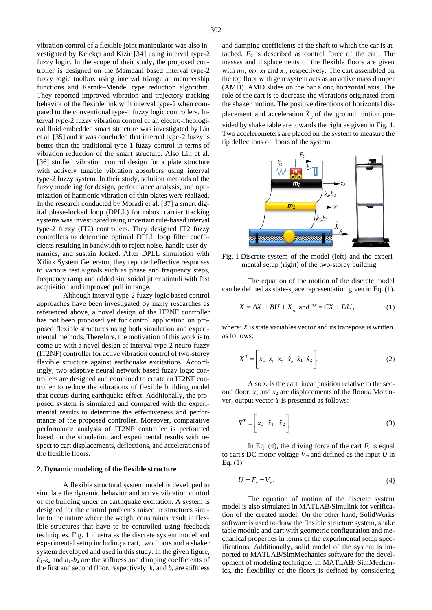vibration control of a flexible joint manipulator was also investigated by Kelekçi and Kizir [34] using interval type-2 fuzzy logic. In the scope of their study, the proposed controller is designed on the Mamdani based interval type-2 fuzzy logic toolbox using interval triangular membership functions and Karnik–Mendel type reduction algorithm. They reported improved vibration and trajectory tracking behavior of the flexible link with interval type-2 when compared to the conventional type-1 fuzzy logic controllers. Interval type-2 fuzzy vibration control of an electro-rheological fluid embedded smart structure was investigated by Lin et al. [35] and it was concluded that internal type-2 fuzzy is better than the traditional type-1 fuzzy control in terms of vibration reduction of the smart structure. Also Lin et al. [36] studied vibration control design for a plate structure with actively tunable vibration absorbers using interval type-2 fuzzy system. In their study, solution methods of the fuzzy modeling for design, performance analysis, and optimization of harmonic vibration of thin plates were realized. In the research conducted by Moradi et al. [37] a smart digital phase-locked loop (DPLL) for robust carrier tracking systems was investigated using uncertain rule-based interval type-2 fuzzy (IT2) controllers. They designed IT2 fuzzy controllers to determine optimal DPLL loop filter coefficients resulting in bandwidth to reject noise, handle user dynamics, and sustain locked. After DPLL simulation with Xilinx System Generator, they reported effective responses to various test signals such as phase and frequency steps, frequency ramp and added sinusoidal jitter stimuli with fast acquisition and improved pull in range.

Although interval type-2 fuzzy logic based control approaches have been investigated by many researches as referenced above, a novel design of the IT2NF controller has not been proposed yet for control application on proposed flexible structures using both simulation and experimental methods. Therefore, the motivation of this work is to come up with a novel design of interval type-2 neuro-fuzzy (IT2NF) controller for active vibration control of two-storey flexible structure against earthquake excitations. Accordingly, two adaptive neural network based fuzzy logic controllers are designed and combined to create an IT2NF controller to reduce the vibrations of flexible building model that occurs during earthquake effect. Additionally, the proposed system is simulated and compared with the experimental results to determine the effectiveness and performance of the proposed controller. Moreover, comparative performance analysis of IT2NF controller is performed based on the simulation and experimental results with respect to cart displacements, deflections, and accelerations of the flexible floors.

## **2. Dynamic modeling of the flexible structure**

A flexible structural system model is developed to simulate the dynamic behavior and active vibration control of the building under an earthquake excitation. A system is designed for the control problems raised in structures similar to the nature where the weight constraints result in flexible structures that have to be controlled using feedback techniques. Fig. 1 illustrates the discrete system model and experimental setup including a cart, two floors and a shaker system developed and used in this study. In the given figure,  $k_1$ - $k_2$  and  $b_1$ - $b_2$  are the stiffness and damping coefficients of the first and second floor, respectively.  $k_c$  and  $b_c$  are stiffness

and damping coefficients of the shaft to which the car is attached. *F<sup>c</sup>* is described as control force of the cart. The masses and displacements of the flexible floors are given with  $m_1$ ,  $m_2$ ,  $x_1$  and  $x_2$ , respectively. The cart assembled on the top floor with gear system acts as an active mass damper (AMD). AMD slides on the bar along horizontal axis. The role of the cart is to decrease the vibrations originated from the shaker motion. The positive directions of horizontal displacement and acceleration  $\ddot{X}_g$  of the ground motion provided by shake table are towards the right as given in Fig. 1. Two accelerometers are placed on the system to measure the tip deflections of floors of the system.



Fig. 1 Discrete system of the model (left) and the experimental setup (right) of the two-storey building

The equation of the motion of the discrete model can be defined as state-space representation given in Eq. (1).

$$
\dot{X} = AX + BU + \ddot{X}_g \text{ and } Y = CX + DU, \qquad (1)
$$

where:  $X$  is state variables vector and its transpose is written as follows:

$$
X^{T} = \left[x_{c} \; x_{1} \; x_{2} \; \dot{x}_{c} \; \dot{x}_{1} \; \dot{x}_{2}\right].
$$
 (2)

Also  $x_c$  is the cart linear position relative to the second floor, *x*<sup>1</sup> and *x*<sup>2</sup> are displacements of the floors. Moreover, output vector *Y* is presented as follows:

$$
Y^T = \left[ x_c \quad \ddot{x}_1 \quad \ddot{x}_2 \right]. \tag{3}
$$

In Eq. (4), the driving force of the cart  $F_c$  is equal to cart's DC motor voltage *V<sup>m</sup>* and defined as the input *U* in Eq. (1).

$$
U = F_c = V_m. \tag{4}
$$

The equation of motion of the discrete system model is also simulated in MATLAB/Simulink for verification of the created model. On the other hand, SolidWorks software is used to draw the flexible structure system, shake table module and cart with geometric configuration and mechanical properties in terms of the experimental setup specifications. Additionally, solid model of the system is imported to MATLAB/SimMechanics software for the development of modeling technique. In MATLAB/ SimMechanics, the flexibility of the floors is defined by considering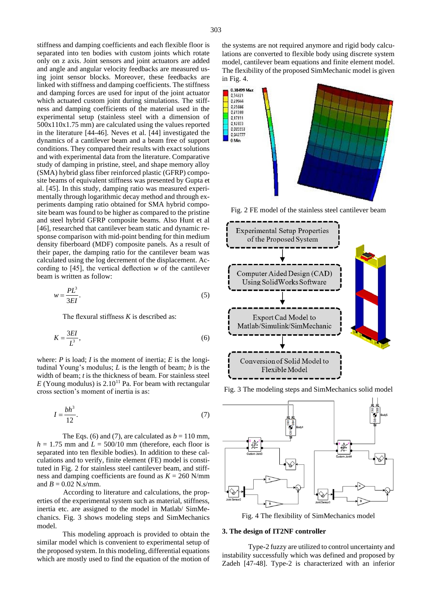stiffness and damping coefficients and each flexible floor is separated into ten bodies with custom joints which rotate only on z axis. Joint sensors and joint actuators are added and angle and angular velocity feedbacks are measured using joint sensor blocks. Moreover, these feedbacks are linked with stiffness and damping coefficients. The stiffness and damping forces are used for input of the joint actuator which actuated custom joint during simulations. The stiffness and damping coefficients of the material used in the experimental setup (stainless steel with a dimension of 500x110x1.75 mm) are calculated using the values reported in the literature [44-46]. Neves et al. [44] investigated the dynamics of a cantilever beam and a beam free of support conditions. They compared their results with exact solutions and with experimental data from the literature. Comparative study of damping in pristine, steel, and shape memory alloy (SMA) hybrid glass fiber reinforced plastic (GFRP) composite beams of equivalent stiffness was presented by Gupta et al. [45]. In this study, damping ratio was measured experimentally through logarithmic decay method and through experiments damping ratio obtained for SMA hybrid composite beam was found to be higher as compared to the pristine and steel hybrid GFRP composite beams. Also Hunt et al [46], researched that cantilever beam static and dynamic response comparison with mid-point bending for thin medium density fiberboard (MDF) composite panels. As a result of their paper, the damping ratio for the cantilever beam was calculated using the log decrement of the displacement. According to [45], the vertical deflection *w* of the cantilever beam is written as follow:

$$
w = \frac{PL^3}{3EI}.
$$
\n<sup>(5)</sup>

The flexural stiffness *K* is described as:

$$
K = \frac{3EI}{L^3},\tag{6}
$$

where:  $P$  is load;  $I$  is the moment of inertia;  $E$  is the longitudinal Young's modulus; *L* is the length of beam; *b* is the width of beam; *t* is the thickness of beam. For stainless steel  $E$  (Young modulus) is 2.10<sup>11</sup> Pa. For beam with rectangular cross section's moment of inertia is as:

$$
I = \frac{bh^3}{12}.\tag{7}
$$

The Eqs. (6) and (7), are calculated as  $b = 110$  mm,  $h = 1.75$  mm and  $L = 500/10$  mm (therefore, each floor is separated into ten flexible bodies). In addition to these calculations and to verify, finite element (FE) model is constituted in Fig. 2 for stainless steel cantilever beam, and stiffness and damping coefficients are found as  $K = 260$  N/mm and  $B = 0.02$  N.s/mm.

According to literature and calculations, the properties of the experimental system such as material, stiffness, inertia etc. are assigned to the model in Matlab/ SimMechanics. Fig. 3 shows modeling steps and SimMechanics model.

This modeling approach is provided to obtain the similar model which is convenient to experimental setup of the proposed system. In this modeling, differential equations which are mostly used to find the equation of the motion of the systems are not required anymore and rigid body calculations are converted to flexible body using discrete system model, cantilever beam equations and finite element model. The flexibility of the proposed SimMechanic model is given in Fig. 4.



Fig. 2 FE model of the stainless steel cantilever beam



Fig. 3 The modeling steps and SimMechanics solid model



Fig. 4 The flexibility of SimMechanics model

### **3. The design of IT2NF controller**

Type-2 fuzzy are utilized to control uncertainty and instability successfully which was defined and proposed by Zadeh [47-48]. Type-2 is characterized with an inferior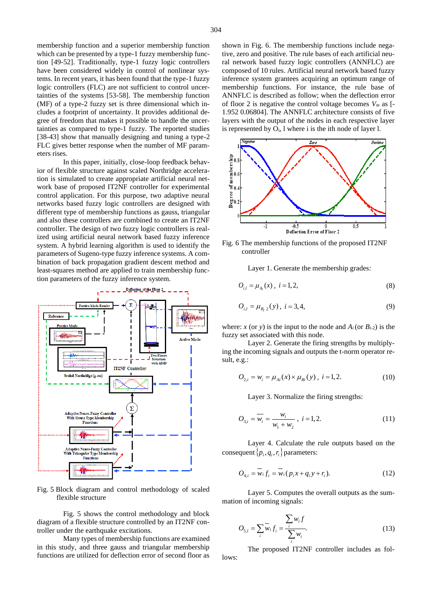membership function and a superior membership function which can be presented by a type-1 fuzzy membership function [49-52]. Traditionally, type-1 fuzzy logic controllers have been considered widely in control of nonlinear systems. In recent years, it has been found that the type-1 fuzzy logic controllers (FLC) are not sufficient to control uncertainties of the systems [53-58]. The membership function (MF) of a type-2 fuzzy set is three dimensional which includes a footprint of uncertainty. It provides additional degree of freedom that makes it possible to handle the uncertainties as compared to type-1 fuzzy. The reported studies [38-43] show that manually designing and tuning a type-2 FLC gives better response when the number of MF parameters rises.

In this paper, initially, close-loop feedback behavior of flexible structure against scaled Northridge acceleration is simulated to create appropriate artificial neural network base of proposed IT2NF controller for experimental control application. For this purpose, two adaptive neural networks based fuzzy logic controllers are designed with different type of membership functions as gauss, triangular and also these controllers are combined to create an IT2NF controller. The design of two fuzzy logic controllers is realized using artificial neural network based fuzzy inference system. A hybrid learning algorithm is used to identify the parameters of Sugeno-type fuzzy inference systems. A combination of back propagation gradient descent method and least-squares method are applied to train membership function parameters of the fuzzy inference system.



Fig. 5 Block diagram and control methodology of scaled flexible structure

Fig. 5 shows the control methodology and block diagram of a flexible structure controlled by an IT2NF controller under the earthquake excitations.

Many types of membership functions are examined in this study, and three gauss and triangular membership functions are utilized for deflection error of second floor as shown in Fig. 6. The membership functions include negative, zero and positive. The rule bases of each artificial neural network based fuzzy logic controllers (ANNFLC) are composed of 10 rules. Artificial neural network based fuzzy inference system grantees acquiring an optimum range of membership functions. For instance, the rule base of ANNFLC is described as follow; when the deflection error of floor 2 is negative the control voltage becomes  $V_m$  as  $[-$ 1.952 0.06804]. The ANNFLC architecture consists of five layers with the output of the nodes in each respective layer is represented by  $O_i$ , l where i is the ith node of layer l.



Fig. 6 The membership functions of the proposed IT2NF controller

Layer 1. Generate the membership grades:

$$
O_{i,l} = \mu_{A_i}(x), \ i = 1, 2,
$$
\n(8)

$$
O_{i,l} = \mu_{B_i \, 2}(y), \ i = 3, 4,
$$
\n(9)

where: *x* (or *y*) is the input to the node and  $A_i$  (or  $B_{i-2}$ ) is the fuzzy set associated with this node.

Layer 2. Generate the firing strengths by multiplying the incoming signals and outputs the t-norm operator result, e.g.:

$$
O_{2,i} = w_i = \mu_{Ai}(x) \times \mu_{Bi}(y), \ i = 1, 2. \tag{10}
$$

Layer 3. Normalize the firing strengths:

$$
O_{3,i} = \overline{w_i} = \frac{w_i}{w_1 + w_2}, \ i = 1, 2. \tag{11}
$$

Layer 4. Calculate the rule outputs based on the consequent  $\{p_i, q_i, r_i\}$  parameters:

$$
O_{4,i} = \overline{w_i} f_i = \overline{w_i} (p_i x + q_i y + r_i). \tag{12}
$$

Layer 5. Computes the overall outputs as the summation of incoming signals:

$$
O_{5,l} = \sum_{i} \overline{w}_i f_i = \frac{\sum_{i} w_i f}{\sum_{i} w_i}.
$$
 (13)

The proposed IT2NF controller includes as follows: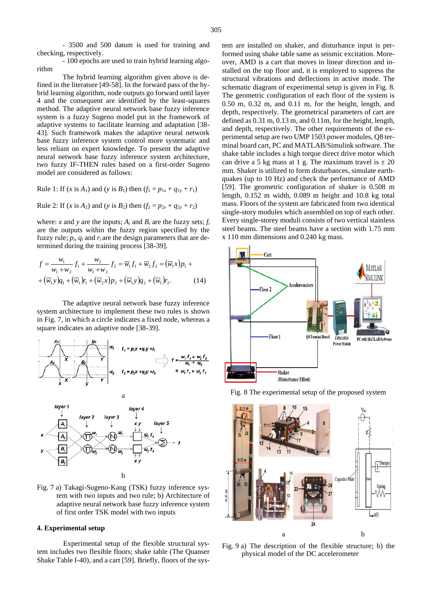- 3500 and 500 datum is used for training and checking, respectively.

- 100 epochs are used to train hybrid learning algorithm

The hybrid learning algorithm given above is defined in the literature [49-58]. In the forward pass of the hybrid learning algorithm, node outputs go forward until layer 4 and the consequent are identified by the least-squares method. The adaptive neural network base fuzzy inference system is a fuzzy Sugeno model put in the framework of adaptive systems to facilitate learning and adaptation [38- 43]. Such framework makes the adaptive neural network base fuzzy inference system control more systematic and less reliant on expert knowledge. To present the adaptive neural network base fuzzy inference system architecture, two fuzzy IF-THEN rules based on a first-order Sugeno model are considered as follows:

Rule 1: If  $(x \text{ is } A_1)$  and  $(y \text{ is } B_1)$  then  $(f_1 = p_{1x} + q_{1y} + r_1)$ 

Rule 2: If  $(x \text{ is } A_2)$  and  $(y \text{ is } B_2)$  then  $(f_2 = p_{2x} + q_{2y} + r_2)$ 

where: *x* and *y* are the inputs;  $A_i$  and  $B_i$  are the fuzzy sets;  $f_i$ are the outputs within the fuzzy region specified by the fuzzy rule;  $p_i$ ,  $q_i$  and  $r_i$  are the design parameters that are determined during the training process [38-39].

$$
f = \frac{w_1}{w_1 + w_2} f_1 + \frac{w_2}{w_1 + w_2} f_2 = \overline{w}_1 f_1 + \overline{w}_2 f_2 = (\overline{w}_1 x) p_1 +
$$
  
+ 
$$
(\overline{w}_1 y) q_1 + (\overline{w}_1) r_1 + (\overline{w}_2 x) p_2 + (\overline{w}_1 y) q_2 + (\overline{w}_1) r_2.
$$
 (14)

The adaptive neural network base fuzzy inference system architecture to implement these two rules is shown in Fig. 7, in which a circle indicates a fixed node, whereas a square indicates an adaptive node [38-39].



Fig. 7 a) Takagi-Sugeno-Kang (TSK) fuzzy inference system with two inputs and two rule; b) Architecture of adaptive neural network base fuzzy inference system of first order TSK model with two inputs

b

## **4. Experimental setup**

Experimental setup of the flexible structural system includes two flexible floors; shake table (The Quanser Shake Table I-40), and a cart [59]. Briefly, floors of the system are installed on shaker, and disturbance input is performed using shake table same as seismic excitation. Moreover, AMD is a cart that moves in linear direction and installed on the top floor and, it is employed to suppress the structural vibrations and deflections in active mode. The schematic diagram of experimental setup is given in Fig. 8. The geometric configuration of each floor of the system is 0.50 m, 0.32 m, and 0.11 m, for the height, length, and depth, respectively. The geometrical parameters of cart are defined as 0.31 m, 0.13 m, and 0.11m, for the height, length, and depth, respectively. The other requirements of the experimental setup are two UMP 1503 power modules, Q8 terminal board cart, PC and MATLAB/Simulink software. The shake table includes a high torque direct drive motor which can drive a 5 kg mass at 1 g. The maximum travel is  $\pm 20$ mm. Shaker is utilized to form disturbances, simulate earthquakes (up to 10 Hz) and check the performance of AMD [59]. The geometric configuration of shaker is 0.508 m length, 0.152 m width, 0.089 m height and 10.8 kg total mass. Floors of the system are fabricated from two identical single-story modules which assembled on top of each other. Every single-storey moduli consists of two vertical stainless steel beams. The steel beams have a section with 1.75 mm





Fig. 9 a) The description of the flexible structure; b) the physical model of the DC accelerometer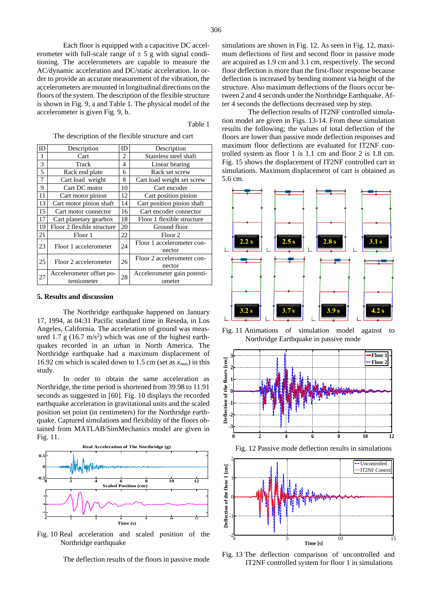Each floor is equipped with a capacitive DC accelerometer with full-scale range of  $\pm$  5 g with signal conditioning. The accelerometers are capable to measure the AC/dynamic acceleration and DC/static acceleration. In order to provide an accurate measurement of the vibration, the accelerometers are mounted in longitudinal directions on the floors of the system. The description of the flexible structure is shown in Fig. 9, a and Table 1. The physical model of the accelerometer is given Fig. 9, b.

#### Table 1

The description of the flexible structure and cart

| ID | Description                | ID | Description                 |
|----|----------------------------|----|-----------------------------|
| 1  | Cart                       | 2  | Stainless steel shaft       |
| 3  | Track                      | 4  | Linear bearing              |
| 5  | Rack end plate             | 6  | Rack set screw              |
| 7  | Cart load weight           | 8  | Cart load weight set screw  |
| 9  | Cart DC motor              | 10 | Cart encoder                |
| 11 | Cart motor pinion          | 12 | Cart position pinion        |
| 13 | Cart motor pinion shaft    | 14 | Cart position pinion shaft  |
| 15 | Cart motor connector       | 16 | Cart encoder connector      |
| 17 | Cart planetary gearbox     | 18 | Floor 1 flexible structure  |
| 19 | Floor 2 flexible structure | 20 | Ground floor                |
| 21 | Floor 1                    | 22 | Floor <sub>2</sub>          |
| 23 | Floor 1 accelerometer      | 24 | Floor 1 accelerometer con-  |
|    |                            |    | nector                      |
| 25 | Floor 2 accelerometer      | 26 | Floor 2 accelerometer con-  |
|    |                            |    | nector                      |
| 27 | Accelerometer offset po-   | 28 | Accelerometer gain potenti- |
|    | tentiometer                |    | ometer                      |

#### **5. Results and discussion**

The Northridge earthquake happened on January 17, 1994, at 04:31 Pacific standard time in Reseda, in Los Angeles, California. The acceleration of ground was measured 1.7 g  $(16.7 \text{ m/s}^2)$  which was one of the highest earthquakes recorded in an urban in North America. The Northridge earthquake had a maximum displacement of 16.92 cm which is scaled down to 1.5 cm (set as  $x_{max}$ ) in this study.

In order to obtain the same acceleration as Northridge, the time period is shortened from 39.98 to 11.91 seconds as suggested in [60]. Fig. 10 displays the recorded earthquake acceleration in gravitational units and the scaled position set point (in centimeters) for the Northridge earthquake. Captured simulations and flexibility of the floors obtained from MATLAB/SimMechanics model are given in Fig. 11.



Fig. 10 Real acceleration and scaled position of the Northridge earthquake

The deflection results of the floors in passive mode

simulations are shown in Fig. 12. As seen in Fig. 12, maximum deflections of first and second floor in passive mode are acquired as 1.9 cm and 3.1 cm, respectively. The second floor deflection is more than the first-floor response because deflection is increased by bending moment via height of the structure. Also maximum deflections of the floors occur between 2 and 4 seconds under the Northridge Earthquake. After 4 seconds the deflections decreased step by step.

The deflection results of IT2NF controlled simulation model are given in Figs. 13-14. From these simulation results the following; the values of total deflection of the floors are lower than passive mode deflection responses and maximum floor deflections are evaluated for IT2NF controlled system as floor 1 is 1.1 cm and floor 2 is 1.8 cm. Fig. 15 shows the displacement of IT2NF controlled cart in simulations. Maximum displacement of cart is obtained as 5.6 cm.



Fig. 11 Animations of simulation model against to Northridge Earthquake in passive mode







Fig. 13 The deflection comparison of uncontrolled and IT2NF controlled system for floor 1 in simulations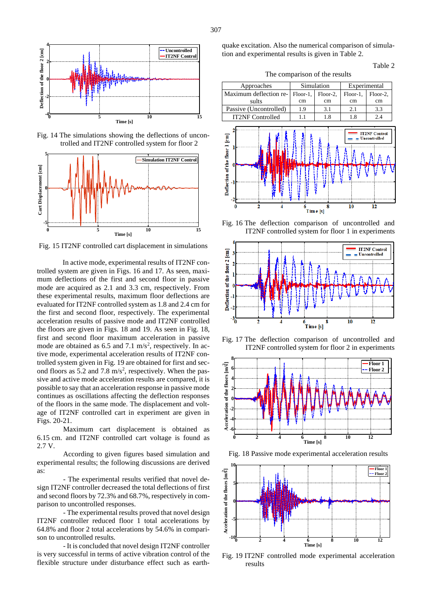

Fig. 14 The simulations showing the deflections of uncontrolled and IT2NF controlled system for floor 2



Fig. 15 IT2NF controlled cart displacement in simulations

In active mode, experimental results of IT2NF controlled system are given in Figs. 16 and 17. As seen, maximum deflections of the first and second floor in passive mode are acquired as 2.1 and 3.3 cm, respectively. From these experimental results, maximum floor deflections are evaluated for IT2NF controlled system as 1.8 and 2.4 cm for the first and second floor, respectively. The experimental acceleration results of passive mode and IT2NF controlled the floors are given in Figs. 18 and 19. As seen in Fig. 18, first and second floor maximum acceleration in passive mode are obtained as  $6.5$  and  $7.1 \text{ m/s}^2$ , respectively. In active mode, experimental acceleration results of IT2NF controlled system given in Fig. 19 are obtained for first and second floors as 5.2 and 7.8  $m/s<sup>2</sup>$ , respectively. When the passive and active mode acceleration results are compared, it is possible to say that an acceleration response in passive mode continues as oscillations affecting the deflection responses of the floors in the same mode. The displacement and voltage of IT2NF controlled cart in experiment are given in Figs. 20-21.

Maximum cart displacement is obtained as 6.15 cm. and IT2NF controlled cart voltage is found as 2.7 V.

According to given figures based simulation and experimental results; the following discussions are derived as:

- The experimental results verified that novel design IT2NF controller decreased the total deflections of first and second floors by 72.3% and 68.7%, respectively in comparison to uncontrolled responses.

- The experimental results proved that novel design IT2NF controller reduced floor 1 total accelerations by 64.8% and floor 2 total accelerations by 54.6% in comparison to uncontrolled results.

- It is concluded that novel design IT2NF controller is very successful in terms of active vibration control of the flexible structure under disturbance effect such as earthquake excitation. Also the numerical comparison of simulation and experimental results is given in Table 2.

## Table 2

The comparison of the results



Fig. 16 The deflection comparison of uncontrolled and IT2NF controlled system for floor 1 in experiments



Fig. 17 The deflection comparison of uncontrolled and IT2NF controlled system for floor 2 in experiments



Fig. 18 Passive mode experimental acceleration results



Fig. 19 IT2NF controlled mode experimental acceleration results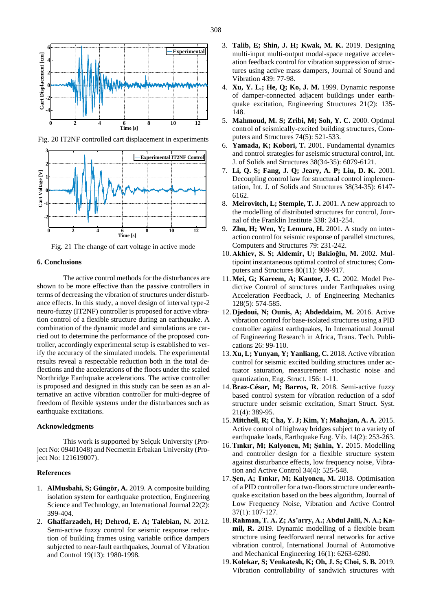

Fig. 20 IT2NF controlled cart displacement in experiments



Fig. 21 The change of cart voltage in active mode

## **6. Conclusions**

The active control methods for the disturbances are shown to be more effective than the passive controllers in terms of decreasing the vibration of structures under disturbance effects. In this study, a novel design of interval type-2 neuro-fuzzy (IT2NF) controller is proposed for active vibration control of a flexible structure during an earthquake. A combination of the dynamic model and simulations are carried out to determine the performance of the proposed controller, accordingly experimental setup is established to verify the accuracy of the simulated models. The experimental results reveal a respectable reduction both in the total deflections and the accelerations of the floors under the scaled Northridge Earthquake accelerations. The active controller is proposed and designed in this study can be seen as an alternative an active vibration controller for multi-degree of freedom of flexible systems under the disturbances such as earthquake excitations.

## **Acknowledgments**

This work is supported by Selçuk University (Project No: 09401048) and Necmettin Erbakan University (Project No: 121619007).

#### **References**

- 1. **AlMusbahi, S; Güngör, A.** 2019. A composite building isolation system for earthquake protection, Engineering Science and Technology, an International Journal 22(2): 399-404.
- 2. **Ghaffarzadeh, H; Dehrod, E. A; Talebian, N.** 2012. Semi-active fuzzy control for seismic response reduction of building frames using variable orifice dampers subjected to near-fault earthquakes, Journal of Vibration and Control 19(13): 1980-1998.
- 3. **Talib, E; Shin, J. H; Kwak, M. K.** 2019. Designing multi-input multi-output modal-space negative acceleration feedback control for vibration suppression of structures using active mass dampers, Journal of Sound and Vibration 439: 77-98.
- 4. **Xu, Y. L.; He, Q; Ko, J. M.** 1999. Dynamic response of damper-connected adjacent buildings under earthquake excitation, Engineering Structures 21(2): 135- 148.
- 5. **Mahmoud, M. S; Zribi, M; Soh, Y. C.** 2000. Optimal control of seismically-excited building structures, Computers and Structures 74(5): 521-533.
- 6. **Yamada, K; Kobori, T.** 2001. Fundamental dynamics and control strategies for aseismic structural control, Int. J. of Solids and Structures 38(34-35): 6079-6121.
- 7. **Li, Q. S; Fang, J. Q; Jeary, A. P; Liu, D. K.** 2001. Decoupling control law for structural control implementation, Int. J. of Solids and Structures 38(34-35): 6147- 6162.
- 8. **Meirovitch, L; Stemple, T. J.** 2001. A new approach to the modelling of distributed structures for control, Journal of the Franklin Institute 338: 241-254.
- 9. **Zhu, H; Wen, Y; Lemura, H.** 2001. A study on interaction control for seismic response of parallel structures, Computers and Structures 79: 231-242.
- 10. **Akhiev, S. S; Aldemir, U; Bakioğlu, M.** 2002. Multipoint instantaneous optimal control of structures; Computers and Structures 80(11): 909-917.
- 11. **Mei, G; Kareem, A; Kantor, J. C.** 2002. Model Predictive Control of structures under Earthquakes using Acceleration Feedback, J. of Engineering Mechanics 128(5): 574-585.
- 12. **Djedoui, N; Ounis, A; Abdeddaim, M.** 2016. Active vibration control for base-isolated structures using a PID controller against earthquakes, In International Journal of Engineering Research in Africa, Trans. Tech. Publications 26: 99-110.
- 13. **Xu, L; Yunyan, Y; Yanliang, C.** 2018. Active vibration control for seismic excited building structures under actuator saturation, measurement stochastic noise and quantization, Eng. Struct. 156: 1-11.
- 14.**Braz-César, M; Barros, R.** 2018. Semi-active fuzzy based control system for vibration reduction of a sdof structure under seismic excitation, Smart Struct. Syst. 21(4): 389-95.
- 15. **Mitchell, R; Cha, Y. J; Kim, Y; Mahajan, A. A.** 2015. Active control of highway bridges subject to a variety of earthquake loads, Earthquake Eng. Vib. 14(2): 253-263.
- 16.**Tınkır, M; Kalyoncu, M; Şahin, Y.** 2015. Modelling and controller design for a flexible structure system against disturbance effects, low frequency noise, Vibration and Active Control 34(4): 525-548.
- 17. **Şen, A; Tınkır, M; Kalyoncu, M.** 2018. Optimisation of a PID controller for a two-floors structure under earthquake excitation based on the bees algorithm, Journal of Low Frequency Noise, Vibration and Active Control 37(1): 107-127.
- 18. **Rahman, T. A. Z; As'arry, A.; Abdul Jalil, N. A.; Kamil, R.** 2019. Dynamic modelling of a flexible beam structure using feedforward neural networks for active vibration control, International Journal of Automotive and Mechanical Engineering 16(1): 6263-6280.
- 19. **Kolekar, S; Venkatesh, K; Oh, J. S; Choi, S. B.** 2019. Vibration controllability of sandwich structures with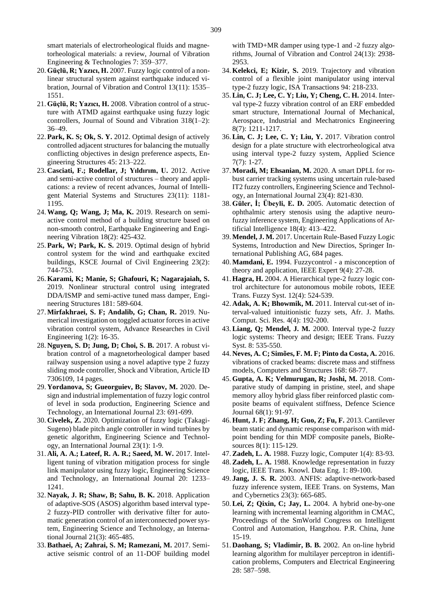smart materials of electrorheological fluids and magnetorheological materials: a review, Journal of Vibration Engineering & Technologies 7: 359–377.

- 20. **Güçlü, R; Yazıcı, H.** 2007. Fuzzy logic control of a nonlinear structural system against earthquake induced vibration, Journal of Vibration and Control 13(11): 1535– 1551.
- 21. **Güçlü, R; Yazıcı, H.** 2008. Vibration control of a structure with ATMD against earthquake using fuzzy logic controllers, Journal of Sound and Vibration 318(1–2): 36–49.
- 22. **Park, K. S; Ok, S. Y.** 2012. Optimal design of actively controlled adjacent structures for balancing the mutually conflicting objectives in design preference aspects, Engineering Structures 45: 213–222.
- 23. **Casciati, F.; Rodellar, J; Yıldırım, U.** 2012. Active and semi-active control of structures – theory and applications: a review of recent advances, Journal of Intelligent Material Systems and Structures 23(11): 1181- 1195.
- 24.**Wang, Q; Wang, J; Ma, K.** 2019. Research on semiactive control method of a building structure based on non-smooth control, Earthquake Engineering and Engineering Vibration 18(2): 425-432.
- 25. **Park, W; Park, K. S.** 2019. Optimal design of hybrid control system for the wind and earthquake excited buildings, KSCE Journal of Civil Engineering 23(2): 744-753.
- 26. **Karami, K; Manie, S; Ghafouri, K; Nagarajaiah, S.** 2019. Nonlinear structural control using integrated DDA/ISMP and semi-active tuned mass damper, Engineering Structures 181: 589-604.
- 27. **Mirfakhraei, S. F; Andalib, G; Chan, R.** 2019. Numerical investigation on toggled actuator forces in active vibration control system, Advance Researches in Civil Engineering 1(2): 16-35.
- 28. **Nguyen, S. D; Jung, D; Choi, S. B.** 2017. A robust vibration control of a magnetorheological damper based railway suspension using a novel adaptive type 2 fuzzy sliding mode controller, Shock and Vibration, Article ID 7306109, 14 pages.
- 29. **Yordanova, S; Gueorguiev, B; Slavov, M.** 2020. Design and industrial implementation of fuzzy logic control of level in soda production, Engineering Science and Technology, an International Journal 23: 691-699.
- 30. **Civelek, Z.** 2020. Optimization of fuzzy logic (Takagi-Sugeno) blade pitch angle controller in wind turbines by genetic algorithm, Engineering Science and Technology, an International Journal 23(1): 1-9.
- 31. **Ali, A. A.; Lateef, R. A. R.; Saeed, M. W.** 2017. Intelligent tuning of vibration mitigation process for single link manipulator using fuzzy logic, Engineering Science and Technology, an International Journal 20: 1233– 1241.
- 32. **Nayak, J. R; Shaw, B; Sahu, B. K.** 2018. Application of adaptive-SOS (ASOS) algorithm based interval type-2 fuzzy-PID controller with derivative filter for automatic generation control of an interconnected power system, Engineering Science and Technology, an International Journal 21(3): 465-485.
- 33.**Bathaei, A; Zahrai, S. M; Ramezani, M.** 2017. Semiactive seismic control of an 11-DOF building model

with TMD+MR damper using type-1 and -2 fuzzy algorithms, Journal of Vibration and Control 24(13): 2938- 2953.

- 34. **Kelekci, E; Kizir, S.** 2019. Trajectory and vibration control of a flexible joint manipulator using interval type-2 fuzzy logic, ISA Transactions 94: 218-233.
- 35.**Lin, C. J; Lee, C. Y; Liu, Y; Cheng, C. H.** 2014. Interval type-2 fuzzy vibration control of an ERF embedded smart structure, International Journal of Mechanical, Aerospace, Industrial and Mechatronics Engineering 8(7): 1211-1217.
- 36.**Lin, C. J; Lee, C. Y; Liu, Y.** 2017. Vibration control design for a plate structure with electrorheological atva using interval type-2 fuzzy system, Applied Science 7(7): 1-27.
- 37. **Moradi, M; Ehsanian, M.** 2020. A smart DPLL for robust carrier tracking systems using uncertain rule-based IT2 fuzzy controllers, Engineering Science and Technology, an International Journal 23(4): 821-830.
- 38. **Güler, İ; Übeyli, E. D.** 2005. Automatic detection of ophthalmic artery stenosis using the adaptive neurofuzzy inference system, Engineering Applications of Artificial Intelligence 18(4): 413–422.
- 39. **Mendel, J. M.** 2017. Uncertain Rule-Based Fuzzy Logic Systems, Introduction and New Directios, Springer International Publishing AG, 684 pages.
- 40. **Mamdani, E.** 1994. Fuzzycontrol a misconception of theory and application, IEEE Expert 9(4): 27-28.
- 41. **Hagra, H.** 2004. A Hierarchical type-2 fuzzy logic control architecture for autonomous mobile robots, IEEE Trans. Fuzzy Syst. 12(4): 524-539.
- 42. **Adak, A. K; Bhowmik, M.** 2011. Interval cut-set of interval-valued intuitionistic fuzzy sets, Afr. J. Maths. Comput. Sci. Res. 4(4): 192-200.
- 43.**Liang, Q; Mendel, J. M.** 2000. Interval type-2 fuzzy logic systems: Theory and design; IEEE Trans. Fuzzy Syst. 8: 535-550.
- 44. **Neves, A. C; Simões, F. M. F; Pinto da Costa, A.** 2016. vibrations of cracked beams: discrete mass and stiffness models, Computers and Structures 168: 68-77.
- 45. **Gupta, A. K; Velmurugan, R; Joshi, M.** 2018. Comparative study of damping in pristine, steel, and shape memory alloy hybrid glass fiber reinforced plastic composite beams of equivalent stiffness, Defence Science Journal 68(1): 91-97.
- 46. **Hunt, J. F; Zhang, H; Guo, Z; Fu, F.** 2013. Cantilever beam static and dynamic response comparison with midpoint bending for thin MDF composite panels, BioResources 8(1): 115-129.
- 47.**Zadeh, L. A.** 1988. Fuzzy logic, Computer 1(4): 83-93.
- 48.**Zadeh, L. A.** 1988. Knowledge representation in fuzzy logic, IEEE Trans. Knowl. Data Eng. 1: 89-100.
- 49. **Jang, J. S. R.** 2003. ANFIS: adaptive-network-based fuzzy inference system, IEEE Trans. on Systems, Man and Cybernetics 23(3): 665-685.
- 50.**Lei, Z; Qixin, C; Jay, L.** 2004. A hybrid one-by-one learning with incremental learning algorithm in CMAC, Proceedings of the SmWorld Congress on Intelligent Control and Automation, Hangzhou. P.R. China, June 15-19.
- 51. **Daohang, S; Vladimir, B. B.** 2002. An on-line hybrid learning algorithm for multilayer perceptron in identification problems, Computers and Electrical Engineering 28: 587–598.